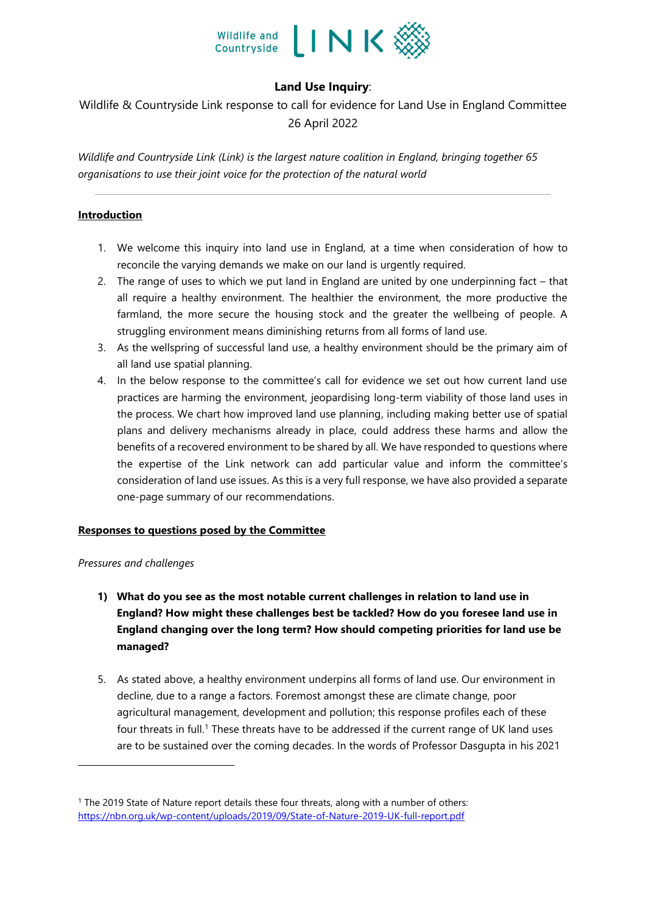

# **Land Use Inquiry**:

Wildlife & Countryside Link response to call for evidence for Land Use in England Committee 26 April 2022

*Wildlife and Countryside Link (Link) is the largest nature coalition in England, bringing together 65 organisations to use their joint voice for the protection of the natural world*

## **Introduction**

- 1. We welcome this inquiry into land use in England, at a time when consideration of how to reconcile the varying demands we make on our land is urgently required.
- 2. The range of uses to which we put land in England are united by one underpinning fact that all require a healthy environment. The healthier the environment, the more productive the farmland, the more secure the housing stock and the greater the wellbeing of people. A struggling environment means diminishing returns from all forms of land use.
- 3. As the wellspring of successful land use, a healthy environment should be the primary aim of all land use spatial planning.
- 4. In the below response to the committee's call for evidence we set out how current land use practices are harming the environment, jeopardising long-term viability of those land uses in the process. We chart how improved land use planning, including making better use of spatial plans and delivery mechanisms already in place, could address these harms and allow the benefits of a recovered environment to be shared by all. We have responded to questions where the expertise of the Link network can add particular value and inform the committee's consideration of land use issues. As this is a very full response, we have also provided a separate one-page summary of our recommendations.

## **Responses to questions posed by the Committee**

## *Pressures and challenges*

- **1) What do you see as the most notable current challenges in relation to land use in England? How might these challenges best be tackled? How do you foresee land use in England changing over the long term? How should competing priorities for land use be managed?**
- 5. As stated above, a healthy environment underpins all forms of land use. Our environment in decline, due to a range a factors. Foremost amongst these are climate change, poor agricultural management, development and pollution; this response profiles each of these four threats in full.<sup>1</sup> These threats have to be addressed if the current range of UK land uses are to be sustained over the coming decades. In the words of Professor Dasgupta in his 2021

<sup>1</sup> The 2019 State of Nature report details these four threats, along with a number of others: <https://nbn.org.uk/wp-content/uploads/2019/09/State-of-Nature-2019-UK-full-report.pdf>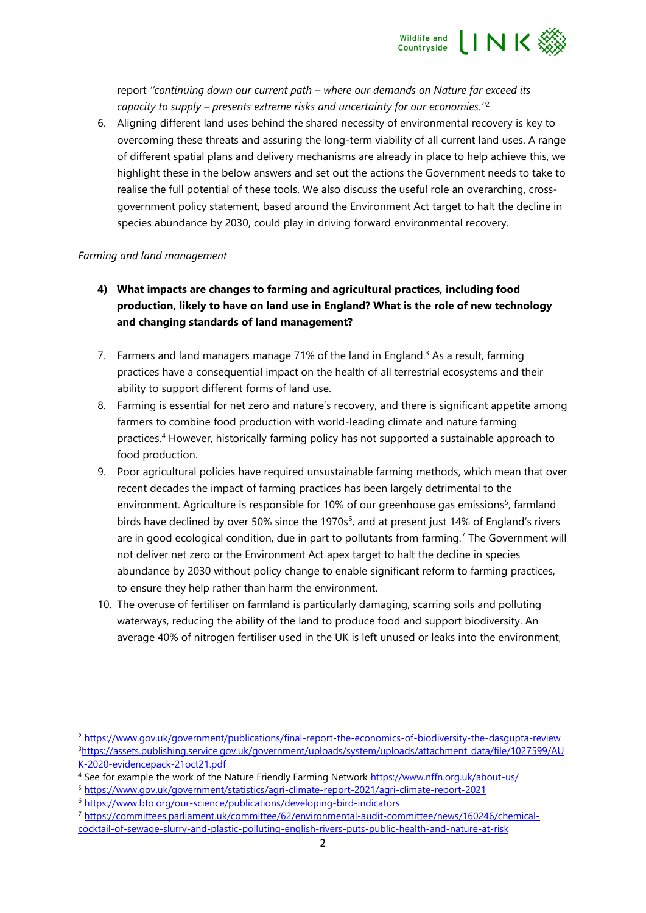

report *''continuing down our current path – where our demands on Nature far exceed its capacity to supply – presents extreme risks and uncertainty for our economies.''*<sup>2</sup>

6. Aligning different land uses behind the shared necessity of environmental recovery is key to overcoming these threats and assuring the long-term viability of all current land uses. A range of different spatial plans and delivery mechanisms are already in place to help achieve this, we highlight these in the below answers and set out the actions the Government needs to take to realise the full potential of these tools. We also discuss the useful role an overarching, crossgovernment policy statement, based around the Environment Act target to halt the decline in species abundance by 2030, could play in driving forward environmental recovery.

## *Farming and land management*

- **4)****What impacts are changes to farming and agricultural practices, including food production, likely to have on land use in England? What is the role of new technology and changing standards of land management?**
- 7. Farmers and land managers manage 71% of the land in England.<sup>3</sup> As a result, farming practices have a consequential impact on the health of all terrestrial ecosystems and their ability to support different forms of land use.
- 8. Farming is essential for net zero and nature's recovery, and there is significant appetite among farmers to combine food production with world-leading climate and nature farming practices.<sup>4</sup> However, historically farming policy has not supported a sustainable approach to food production.
- 9. Poor agricultural policies have required unsustainable farming methods, which mean that over recent decades the impact of farming practices has been largely detrimental to the environment. Agriculture is responsible for 10% of our greenhouse gas emissions<sup>5</sup>, farmland birds have declined by over 50% since the 1970s $<sup>6</sup>$ , and at present just 14% of England's rivers</sup> are in good ecological condition, due in part to pollutants from farming.<sup>7</sup> The Government will not deliver net zero or the Environment Act apex target to halt the decline in species abundance by 2030 without policy change to enable significant reform to farming practices, to ensure they help rather than harm the environment.
- 10. The overuse of fertiliser on farmland is particularly damaging, scarring soils and polluting waterways, reducing the ability of the land to produce food and support biodiversity. An average 40% of nitrogen fertiliser used in the UK is left unused or leaks into the environment,

<sup>5</sup> <https://www.gov.uk/government/statistics/agri-climate-report-2021/agri-climate-report-2021>

<sup>7</sup> [https://committees.parliament.uk/committee/62/environmental-audit-committee/news/160246/chemical](https://committees.parliament.uk/committee/62/environmental-audit-committee/news/160246/chemical-cocktail-of-sewage-slurry-and-plastic-polluting-english-rivers-puts-public-health-and-nature-at-risk)[cocktail-of-sewage-slurry-and-plastic-polluting-english-rivers-puts-public-health-and-nature-at-risk](https://committees.parliament.uk/committee/62/environmental-audit-committee/news/160246/chemical-cocktail-of-sewage-slurry-and-plastic-polluting-english-rivers-puts-public-health-and-nature-at-risk)

<sup>2</sup> <https://www.gov.uk/government/publications/final-report-the-economics-of-biodiversity-the-dasgupta-review> 3[https://assets.publishing.service.gov.uk/government/uploads/system/uploads/attachment\\_data/file/1027599/AU](https://assets.publishing.service.gov.uk/government/uploads/system/uploads/attachment_data/file/1027599/AUK-2020-evidencepack-21oct21.pdf) [K-2020-evidencepack-21oct21.pdf](https://assets.publishing.service.gov.uk/government/uploads/system/uploads/attachment_data/file/1027599/AUK-2020-evidencepack-21oct21.pdf)

<sup>4</sup> See for example the work of the Nature Friendly Farming Network<https://www.nffn.org.uk/about-us/>

<sup>6</sup> <https://www.bto.org/our-science/publications/developing-bird-indicators>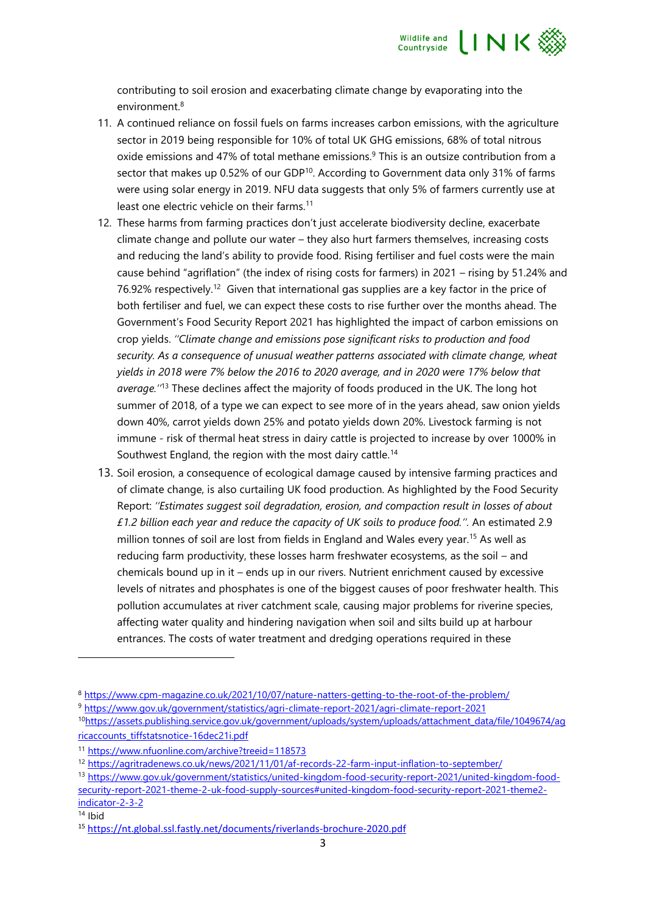

contributing to soil erosion and exacerbating climate change by evaporating into the environment. 8

- 11. A continued reliance on fossil fuels on farms increases carbon emissions, with the agriculture sector in 2019 being responsible for 10% of total UK GHG emissions, 68% of total nitrous oxide emissions and 47% of total methane emissions. <sup>9</sup> This is an outsize contribution from a sector that makes up  $0.52\%$  of our GDP<sup>10</sup>. According to Government data only 31% of farms were using solar energy in 2019. NFU data suggests that only 5% of farmers currently use at least one electric vehicle on their farms.<sup>11</sup>
- 12. These harms from farming practices don't just accelerate biodiversity decline, exacerbate climate change and pollute our water – they also hurt farmers themselves, increasing costs and reducing the land's ability to provide food. Rising fertiliser and fuel costs were the main cause behind "agriflation" (the index of rising costs for farmers) in 2021 – rising by 51.24% and 76.92% respectively.<sup>12</sup> Given that international gas supplies are a key factor in the price of both fertiliser and fuel, we can expect these costs to rise further over the months ahead. The Government's Food Security Report 2021 has highlighted the impact of carbon emissions on crop yields. *''Climate change and emissions pose significant risks to production and food security. As a consequence of unusual weather patterns associated with climate change, wheat yields in 2018 were 7% below the 2016 to 2020 average, and in 2020 were 17% below that average.''*<sup>13</sup> These declines affect the majority of foods produced in the UK. The long hot summer of 2018, of a type we can expect to see more of in the years ahead, saw onion yields down 40%, carrot yields down 25% and potato yields down 20%. Livestock farming is not immune - risk of thermal heat stress in dairy cattle is projected to increase by over 1000% in Southwest England, the region with the most dairy cattle.<sup>14</sup>
- 13. Soil erosion, a consequence of ecological damage caused by intensive farming practices and of climate change, is also curtailing UK food production. As highlighted by the Food Security Report: *''Estimates suggest soil degradation, erosion, and compaction result in losses of about £1.2 billion each year and reduce the capacity of UK soils to produce food.''.* An estimated 2.9 million tonnes of soil are lost from fields in England and Wales every year.<sup>15</sup> As well as reducing farm productivity, these losses harm freshwater ecosystems, as the soil – and chemicals bound up in it – ends up in our rivers. Nutrient enrichment caused by excessive levels of nitrates and phosphates is one of the biggest causes of poor freshwater health. This pollution accumulates at river catchment scale, causing major problems for riverine species, affecting water quality and hindering navigation when soil and silts build up at harbour entrances. The costs of water treatment and dredging operations required in these

<sup>8</sup> <https://www.cpm-magazine.co.uk/2021/10/07/nature-natters-getting-to-the-root-of-the-problem/>

<sup>9</sup> <https://www.gov.uk/government/statistics/agri-climate-report-2021/agri-climate-report-2021>

<sup>10</sup>[https://assets.publishing.service.gov.uk/government/uploads/system/uploads/attachment\\_data/file/1049674/ag](https://assets.publishing.service.gov.uk/government/uploads/system/uploads/attachment_data/file/1049674/agricaccounts_tiffstatsnotice-16dec21i.pdf) [ricaccounts\\_tiffstatsnotice-16dec21i.pdf](https://assets.publishing.service.gov.uk/government/uploads/system/uploads/attachment_data/file/1049674/agricaccounts_tiffstatsnotice-16dec21i.pdf)

<sup>11</sup> <https://www.nfuonline.com/archive?treeid=118573>

<sup>12</sup> <https://agritradenews.co.uk/news/2021/11/01/af-records-22-farm-input-inflation-to-september/>

<sup>13</sup> [https://www.gov.uk/government/statistics/united-kingdom-food-security-report-2021/united-kingdom-food](https://www.gov.uk/government/statistics/united-kingdom-food-security-report-2021/united-kingdom-food-security-report-2021-theme-2-uk-food-supply-sources#united-kingdom-food-security-report-2021-theme2-indicator-2-3-2)[security-report-2021-theme-2-uk-food-supply-sources#united-kingdom-food-security-report-2021-theme2](https://www.gov.uk/government/statistics/united-kingdom-food-security-report-2021/united-kingdom-food-security-report-2021-theme-2-uk-food-supply-sources#united-kingdom-food-security-report-2021-theme2-indicator-2-3-2) [indicator-2-3-2](https://www.gov.uk/government/statistics/united-kingdom-food-security-report-2021/united-kingdom-food-security-report-2021-theme-2-uk-food-supply-sources#united-kingdom-food-security-report-2021-theme2-indicator-2-3-2)

<sup>14</sup> Ibid

<sup>15</sup> <https://nt.global.ssl.fastly.net/documents/riverlands-brochure-2020.pdf>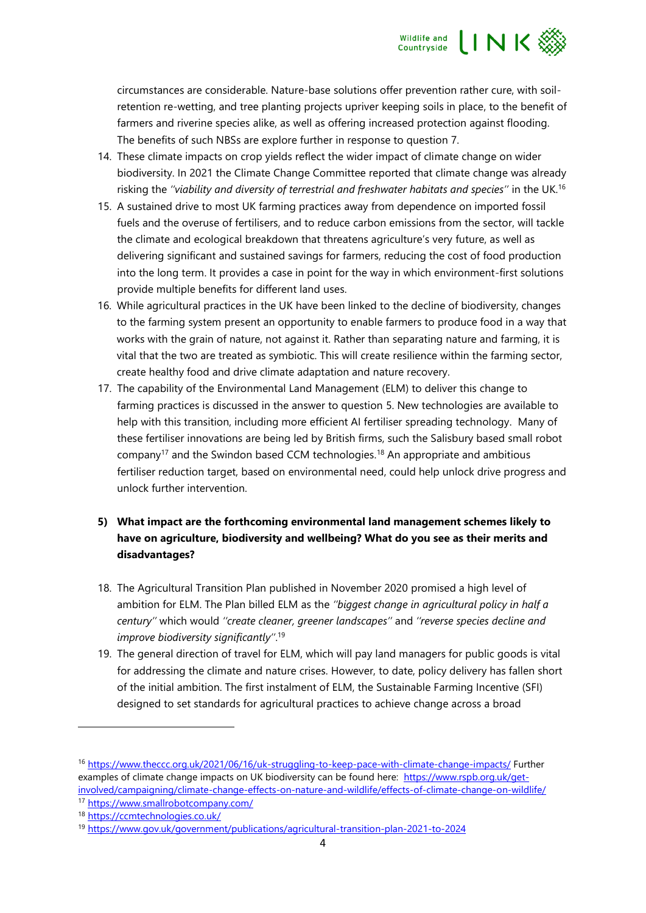

circumstances are considerable. Nature-base solutions offer prevention rather cure, with soilretention re-wetting, and tree planting projects upriver keeping soils in place, to the benefit of farmers and riverine species alike, as well as offering increased protection against flooding. The benefits of such NBSs are explore further in response to question 7.

- 14. These climate impacts on crop yields reflect the wider impact of climate change on wider biodiversity. In 2021 the Climate Change Committee reported that climate change was already risking the *''viability and diversity of terrestrial and freshwater habitats and species''* in the UK. 16
- 15. A sustained drive to most UK farming practices away from dependence on imported fossil fuels and the overuse of fertilisers, and to reduce carbon emissions from the sector, will tackle the climate and ecological breakdown that threatens agriculture's very future, as well as delivering significant and sustained savings for farmers, reducing the cost of food production into the long term. It provides a case in point for the way in which environment-first solutions provide multiple benefits for different land uses.
- 16. While agricultural practices in the UK have been linked to the decline of biodiversity, changes to the farming system present an opportunity to enable farmers to produce food in a way that works with the grain of nature, not against it. Rather than separating nature and farming, it is vital that the two are treated as symbiotic. This will create resilience within the farming sector, create healthy food and drive climate adaptation and nature recovery.
- 17. The capability of the Environmental Land Management (ELM) to deliver this change to farming practices is discussed in the answer to question 5. New technologies are available to help with this transition, including more efficient AI fertiliser spreading technology. Many of these fertiliser innovations are being led by British firms, such the Salisbury based small robot company<sup>17</sup> and the Swindon based CCM technologies.<sup>18</sup> An appropriate and ambitious fertiliser reduction target, based on environmental need, could help unlock drive progress and unlock further intervention.
- **5) What impact are the forthcoming environmental land management schemes likely to have on agriculture, biodiversity and wellbeing? What do you see as their merits and disadvantages?**
- 18. The Agricultural Transition Plan published in November 2020 promised a high level of ambition for ELM. The Plan billed ELM as the *''biggest change in agricultural policy in half a century''* which would *''create cleaner, greener landscapes''* and *''reverse species decline and improve biodiversity significantly''*. 19
- 19. The general direction of travel for ELM, which will pay land managers for public goods is vital for addressing the climate and nature crises. However, to date, policy delivery has fallen short of the initial ambition. The first instalment of ELM, the Sustainable Farming Incentive (SFI) designed to set standards for agricultural practices to achieve change across a broad

<sup>16</sup> <https://www.theccc.org.uk/2021/06/16/uk-struggling-to-keep-pace-with-climate-change-impacts/> Further examples of climate change impacts on UK biodiversity can be found here: [https://www.rspb.org.uk/get](https://www.rspb.org.uk/get-involved/campaigning/climate-change-effects-on-nature-and-wildlife/effects-of-climate-change-on-wildlife/)[involved/campaigning/climate-change-effects-on-nature-and-wildlife/effects-of-climate-change-on-wildlife/](https://www.rspb.org.uk/get-involved/campaigning/climate-change-effects-on-nature-and-wildlife/effects-of-climate-change-on-wildlife/)

<sup>17</sup> <https://www.smallrobotcompany.com/>

<sup>18</sup> <https://ccmtechnologies.co.uk/>

<sup>19</sup> <https://www.gov.uk/government/publications/agricultural-transition-plan-2021-to-2024>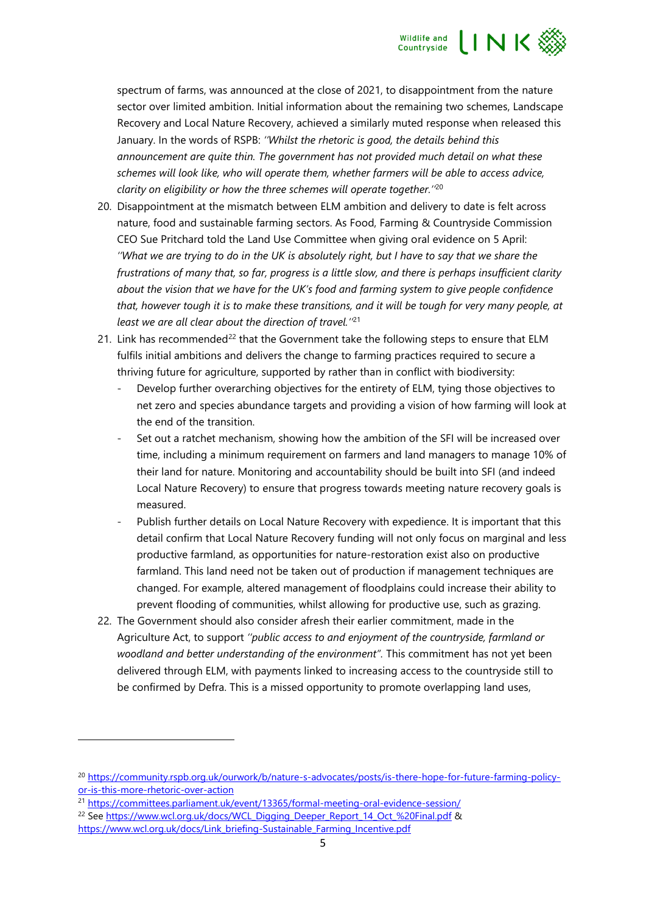

spectrum of farms, was announced at the close of 2021, to disappointment from the nature sector over limited ambition. Initial information about the remaining two schemes, Landscape Recovery and Local Nature Recovery, achieved a similarly muted response when released this January. In the words of RSPB: *''Whilst the rhetoric is good, the details behind this announcement are quite thin. The government has not provided much detail on what these schemes will look like, who will operate them, whether farmers will be able to access advice, clarity on eligibility or how the three schemes will operate together.''*<sup>20</sup>

- 20. Disappointment at the mismatch between ELM ambition and delivery to date is felt across nature, food and sustainable farming sectors. As Food, Farming & Countryside Commission CEO Sue Pritchard told the Land Use Committee when giving oral evidence on 5 April: *''What we are trying to do in the UK is absolutely right, but I have to say that we share the frustrations of many that, so far, progress is a little slow, and there is perhaps insufficient clarity about the vision that we have for the UK's food and farming system to give people confidence that, however tough it is to make these transitions, and it will be tough for very many people, at least we are all clear about the direction of travel.''* 21
- 21. Link has recommended<sup>22</sup> that the Government take the following steps to ensure that ELM fulfils initial ambitions and delivers the change to farming practices required to secure a thriving future for agriculture, supported by rather than in conflict with biodiversity:
	- Develop further overarching objectives for the entirety of ELM, tying those objectives to net zero and species abundance targets and providing a vision of how farming will look at the end of the transition.
	- Set out a ratchet mechanism, showing how the ambition of the SFI will be increased over time, including a minimum requirement on farmers and land managers to manage 10% of their land for nature. Monitoring and accountability should be built into SFI (and indeed Local Nature Recovery) to ensure that progress towards meeting nature recovery goals is measured.
	- Publish further details on Local Nature Recovery with expedience. It is important that this detail confirm that Local Nature Recovery funding will not only focus on marginal and less productive farmland, as opportunities for nature-restoration exist also on productive farmland. This land need not be taken out of production if management techniques are changed. For example, altered management of floodplains could increase their ability to prevent flooding of communities, whilst allowing for productive use, such as grazing.
- 22. The Government should also consider afresh their earlier commitment, made in the Agriculture Act, to support *''public access to and enjoyment of the countryside, farmland or woodland and better understanding of the environment".* This commitment has not yet been delivered through ELM, with payments linked to increasing access to the countryside still to be confirmed by Defra. This is a missed opportunity to promote overlapping land uses,

<sup>21</sup> <https://committees.parliament.uk/event/13365/formal-meeting-oral-evidence-session/>

<sup>&</sup>lt;sup>20</sup> [https://community.rspb.org.uk/ourwork/b/nature-s-advocates/posts/is-there-hope-for-future-farming-policy](https://community.rspb.org.uk/ourwork/b/nature-s-advocates/posts/is-there-hope-for-future-farming-policy-or-is-this-more-rhetoric-over-action)[or-is-this-more-rhetoric-over-action](https://community.rspb.org.uk/ourwork/b/nature-s-advocates/posts/is-there-hope-for-future-farming-policy-or-is-this-more-rhetoric-over-action)

<sup>&</sup>lt;sup>22</sup> Se[e https://www.wcl.org.uk/docs/WCL\\_Digging\\_Deeper\\_Report\\_14\\_Oct\\_%20Final.pdf](https://www.wcl.org.uk/docs/WCL_Digging_Deeper_Report_14_Oct_%20Final.pdf) &

[https://www.wcl.org.uk/docs/Link\\_briefing-Sustainable\\_Farming\\_Incentive.pdf](https://www.wcl.org.uk/docs/Link_briefing-Sustainable_Farming_Incentive.pdf)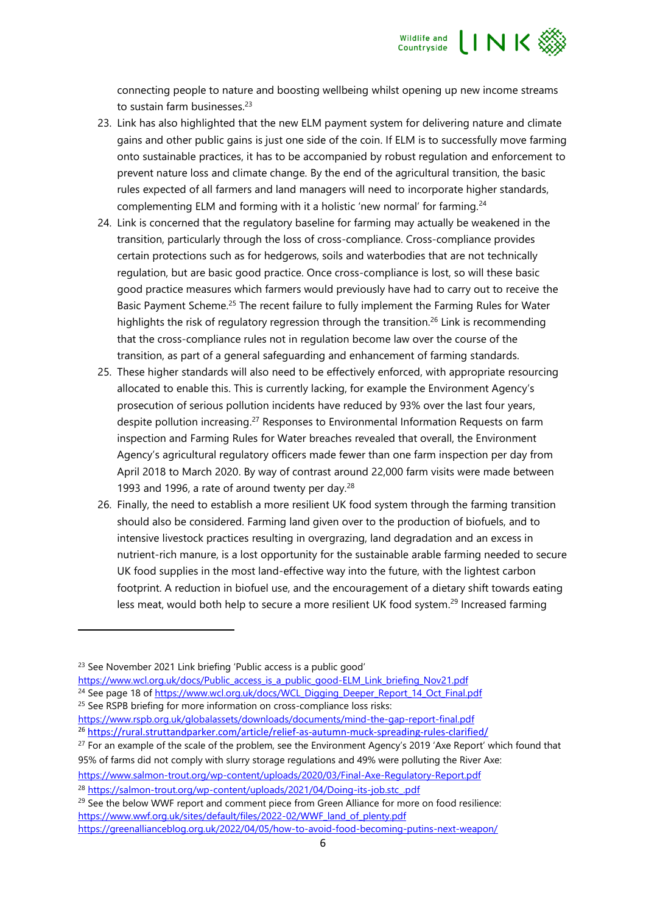

connecting people to nature and boosting wellbeing whilst opening up new income streams to sustain farm businesses.<sup>23</sup>

- 23. Link has also highlighted that the new ELM payment system for delivering nature and climate gains and other public gains is just one side of the coin. If ELM is to successfully move farming onto sustainable practices, it has to be accompanied by robust regulation and enforcement to prevent nature loss and climate change. By the end of the agricultural transition, the basic rules expected of all farmers and land managers will need to incorporate higher standards, complementing ELM and forming with it a holistic 'new normal' for farming.<sup>24</sup>
- 24. Link is concerned that the regulatory baseline for farming may actually be weakened in the transition, particularly through the loss of cross-compliance. Cross-compliance provides certain protections such as for hedgerows, soils and waterbodies that are not technically regulation, but are basic good practice. Once cross-compliance is lost, so will these basic good practice measures which farmers would previously have had to carry out to receive the Basic Payment Scheme.<sup>25</sup> The recent failure to fully implement the Farming Rules for Water highlights the risk of regulatory regression through the transition.<sup>26</sup> Link is recommending that the cross-compliance rules not in regulation become law over the course of the transition, as part of a general safeguarding and enhancement of farming standards.
- 25. These higher standards will also need to be effectively enforced, with appropriate resourcing allocated to enable this. This is currently lacking, for example the Environment Agency's prosecution of serious pollution incidents have reduced by 93% over the last four years, despite pollution increasing.<sup>27</sup> Responses to Environmental Information Requests on farm inspection and Farming Rules for Water breaches revealed that overall, the Environment Agency's agricultural regulatory officers made fewer than one farm inspection per day from April 2018 to March 2020. By way of contrast around 22,000 farm visits were made between 1993 and 1996, a rate of around twenty per day. $28$
- 26. Finally, the need to establish a more resilient UK food system through the farming transition should also be considered. Farming land given over to the production of biofuels, and to intensive livestock practices resulting in overgrazing, land degradation and an excess in nutrient-rich manure, is a lost opportunity for the sustainable arable farming needed to secure UK food supplies in the most land-effective way into the future, with the lightest carbon footprint. A reduction in biofuel use, and the encouragement of a dietary shift towards eating less meat, would both help to secure a more resilient UK food system.<sup>29</sup> Increased farming

<https://www.salmon-trout.org/wp-content/uploads/2020/03/Final-Axe-Regulatory-Report.pdf>

<sup>28</sup> [https://salmon-trout.org/wp-content/uploads/2021/04/Doing-its-job.stc\\_.pdf](https://salmon-trout.org/wp-content/uploads/2021/04/Doing-its-job.stc_.pdf)

<sup>&</sup>lt;sup>23</sup> See November 2021 Link briefing 'Public access is a public good'

[https://www.wcl.org.uk/docs/Public\\_access\\_is\\_a\\_public\\_good-ELM\\_Link\\_briefing\\_Nov21.pdf](https://www.wcl.org.uk/docs/Public_access_is_a_public_good-ELM_Link_briefing_Nov21.pdf)

<sup>&</sup>lt;sup>24</sup> See page 18 o[f https://www.wcl.org.uk/docs/WCL\\_Digging\\_Deeper\\_Report\\_14\\_Oct\\_Final.pdf](https://www.wcl.org.uk/docs/WCL_Digging_Deeper_Report_14_Oct_Final.pdf)

<sup>&</sup>lt;sup>25</sup> See RSPB briefing for more information on cross-compliance loss risks:

<https://www.rspb.org.uk/globalassets/downloads/documents/mind-the-gap-report-final.pdf> <sup>26</sup> <https://rural.struttandparker.com/article/relief-as-autumn-muck-spreading-rules-clarified/>

<sup>&</sup>lt;sup>27</sup> For an example of the scale of the problem, see the Environment Agency's 2019 'Axe Report' which found that 95% of farms did not comply with slurry storage regulations and 49% were polluting the River Axe:

<sup>&</sup>lt;sup>29</sup> See the below WWF report and comment piece from Green Alliance for more on food resilience: https://www.wwf.org.uk/sites/default/files/2022-02/WWF land of plenty.pdf <https://greenallianceblog.org.uk/2022/04/05/how-to-avoid-food-becoming-putins-next-weapon/>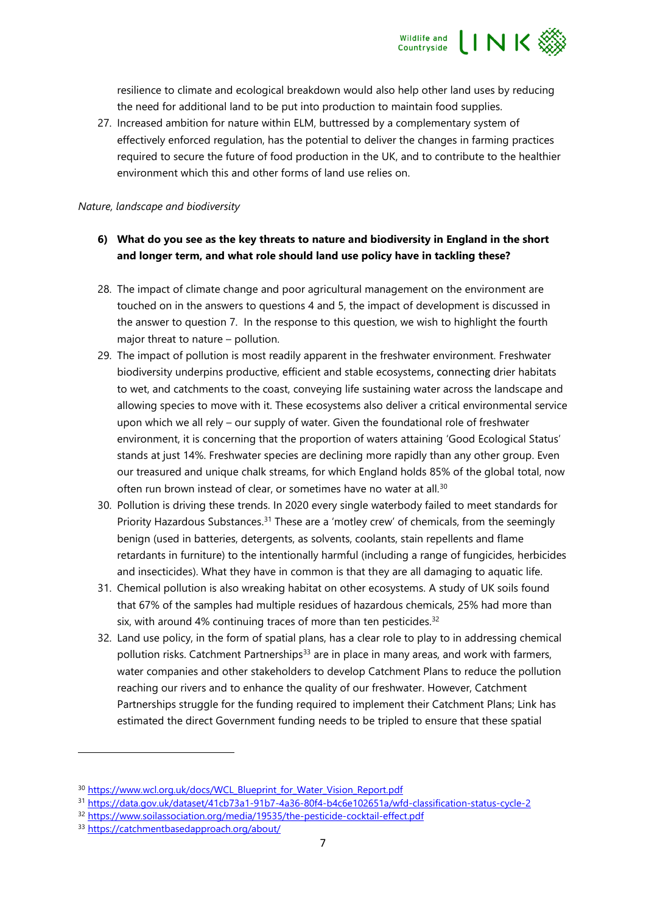

resilience to climate and ecological breakdown would also help other land uses by reducing the need for additional land to be put into production to maintain food supplies.

27. Increased ambition for nature within ELM, buttressed by a complementary system of effectively enforced regulation, has the potential to deliver the changes in farming practices required to secure the future of food production in the UK, and to contribute to the healthier environment which this and other forms of land use relies on.

## *Nature, landscape and biodiversity*

## **6) What do you see as the key threats to nature and biodiversity in England in the short and longer term, and what role should land use policy have in tackling these?**

- 28. The impact of climate change and poor agricultural management on the environment are touched on in the answers to questions 4 and 5, the impact of development is discussed in the answer to question 7. In the response to this question, we wish to highlight the fourth major threat to nature – pollution.
- 29. The impact of pollution is most readily apparent in the freshwater environment. Freshwater biodiversity underpins productive, efficient and stable ecosystems, connecting drier habitats to wet, and catchments to the coast, conveying life sustaining water across the landscape and allowing species to move with it. These ecosystems also deliver a critical environmental service upon which we all rely – our supply of water. Given the foundational role of freshwater environment, it is concerning that the proportion of waters attaining 'Good Ecological Status' stands at just 14%. Freshwater species are declining more rapidly than any other group. Even our treasured and unique chalk streams, for which England holds 85% of the global total, now often run brown instead of clear, or sometimes have no water at all.<sup>30</sup>
- 30. Pollution is driving these trends. In 2020 every single waterbody failed to meet standards for Priority Hazardous Substances.<sup>31</sup> These are a 'motley crew' of chemicals, from the seemingly benign (used in batteries, detergents, as solvents, coolants, stain repellents and flame retardants in furniture) to the intentionally harmful (including a range of fungicides, herbicides and insecticides). What they have in common is that they are all damaging to aquatic life.
- 31. Chemical pollution is also wreaking habitat on other ecosystems. A study of UK soils found that 67% of the samples had multiple residues of hazardous chemicals, 25% had more than six, with around 4% continuing traces of more than ten pesticides.<sup>32</sup>
- 32. Land use policy, in the form of spatial plans, has a clear role to play to in addressing chemical pollution risks. Catchment Partnerships<sup>33</sup> are in place in many areas, and work with farmers, water companies and other stakeholders to develop Catchment Plans to reduce the pollution reaching our rivers and to enhance the quality of our freshwater. However, Catchment Partnerships struggle for the funding required to implement their Catchment Plans; Link has estimated the direct Government funding needs to be tripled to ensure that these spatial

<sup>&</sup>lt;sup>30</sup> [https://www.wcl.org.uk/docs/WCL\\_Blueprint\\_for\\_Water\\_Vision\\_Report.pdf](https://www.wcl.org.uk/docs/WCL_Blueprint_for_Water_Vision_Report.pdf)

<sup>31</sup> <https://data.gov.uk/dataset/41cb73a1-91b7-4a36-80f4-b4c6e102651a/wfd-classification-status-cycle-2>

<sup>&</sup>lt;sup>32</sup> <https://www.soilassociation.org/media/19535/the-pesticide-cocktail-effect.pdf>

<sup>33</sup> <https://catchmentbasedapproach.org/about/>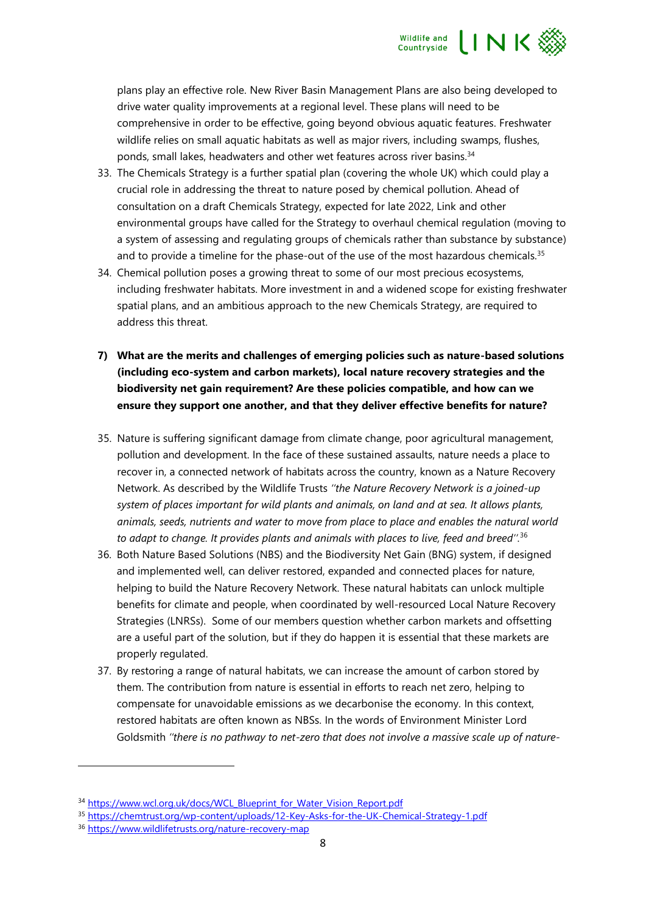

plans play an effective role. New River Basin Management Plans are also being developed to drive water quality improvements at a regional level. These plans will need to be comprehensive in order to be effective, going beyond obvious aquatic features. Freshwater wildlife relies on small aquatic habitats as well as major rivers, including swamps, flushes, ponds, small lakes, headwaters and other wet features across river basins.<sup>34</sup>

- 33. The Chemicals Strategy is a further spatial plan (covering the whole UK) which could play a crucial role in addressing the threat to nature posed by chemical pollution. Ahead of consultation on a draft Chemicals Strategy, expected for late 2022, Link and other environmental groups have called for the Strategy to overhaul chemical regulation (moving to a system of assessing and regulating groups of chemicals rather than substance by substance) and to provide a timeline for the phase-out of the use of the most hazardous chemicals.<sup>35</sup>
- 34. Chemical pollution poses a growing threat to some of our most precious ecosystems, including freshwater habitats. More investment in and a widened scope for existing freshwater spatial plans, and an ambitious approach to the new Chemicals Strategy, are required to address this threat.
- **7) What are the merits and challenges of emerging policies such as nature-based solutions (including eco-system and carbon markets), local nature recovery strategies and the biodiversity net gain requirement? Are these policies compatible, and how can we ensure they support one another, and that they deliver effective benefits for nature?**
- 35. Nature is suffering significant damage from climate change, poor agricultural management, pollution and development. In the face of these sustained assaults, nature needs a place to recover in, a connected network of habitats across the country, known as a Nature Recovery Network. As described by the Wildlife Trusts *''the Nature Recovery Network is a joined-up system of places important for wild plants and animals, on land and at sea. It allows plants, animals, seeds, nutrients and water to move from place to place and enables the natural world to adapt to change. It provides plants and animals with places to live, feed and breed''.* 36
- 36. Both Nature Based Solutions (NBS) and the Biodiversity Net Gain (BNG) system, if designed and implemented well, can deliver restored, expanded and connected places for nature, helping to build the Nature Recovery Network. These natural habitats can unlock multiple benefits for climate and people, when coordinated by well-resourced Local Nature Recovery Strategies (LNRSs). Some of our members question whether carbon markets and offsetting are a useful part of the solution, but if they do happen it is essential that these markets are properly regulated.
- 37. By restoring a range of natural habitats, we can increase the amount of carbon stored by them. The contribution from nature is essential in efforts to reach net zero, helping to compensate for unavoidable emissions as we decarbonise the economy. In this context, restored habitats are often known as NBSs. In the words of Environment Minister Lord Goldsmith *''there is no pathway to net-zero that does not involve a massive scale up of nature-*

<sup>&</sup>lt;sup>34</sup> [https://www.wcl.org.uk/docs/WCL\\_Blueprint\\_for\\_Water\\_Vision\\_Report.pdf](https://www.wcl.org.uk/docs/WCL_Blueprint_for_Water_Vision_Report.pdf)

<sup>35</sup> <https://chemtrust.org/wp-content/uploads/12-Key-Asks-for-the-UK-Chemical-Strategy-1.pdf>

<sup>36</sup> <https://www.wildlifetrusts.org/nature-recovery-map>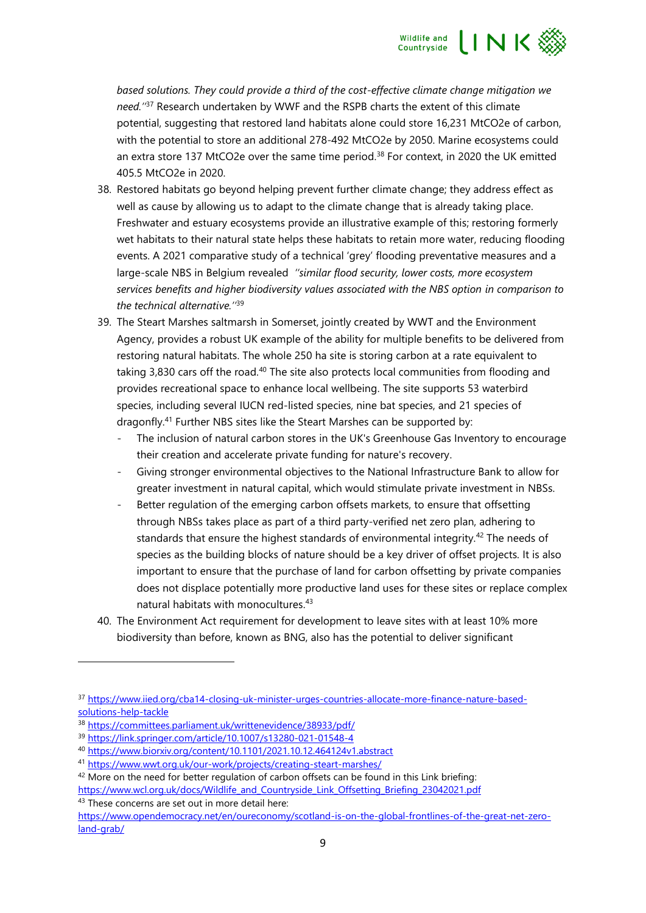

*based solutions. They could provide a third of the cost-effective climate change mitigation we need.''*<sup>37</sup> Research undertaken by WWF and the RSPB charts the extent of this climate potential, suggesting that restored land habitats alone could store 16,231 MtCO2e of carbon, with the potential to store an additional 278-492 MtCO2e by 2050. Marine ecosystems could an extra store 137 MtCO2e over the same time period.<sup>38</sup> For context, in 2020 the UK emitted 405.5 MtCO2e in 2020.

- 38. Restored habitats go beyond helping prevent further climate change; they address effect as well as cause by allowing us to adapt to the climate change that is already taking place. Freshwater and estuary ecosystems provide an illustrative example of this; restoring formerly wet habitats to their natural state helps these habitats to retain more water, reducing flooding events. A 2021 comparative study of a technical 'grey' flooding preventative measures and a large-scale NBS in Belgium revealed *''similar flood security, lower costs, more ecosystem services benefits and higher biodiversity values associated with the NBS option in comparison to the technical alternative.''*<sup>39</sup>
- 39. The Steart Marshes saltmarsh in Somerset, jointly created by WWT and the Environment Agency, provides a robust UK example of the ability for multiple benefits to be delivered from restoring natural habitats. The whole 250 ha site is storing carbon at a rate equivalent to taking 3,830 cars off the road.<sup>40</sup> The site also protects local communities from flooding and provides recreational space to enhance local wellbeing. The site supports 53 waterbird species, including several IUCN red-listed species, nine bat species, and 21 species of dragonfly.<sup>41</sup> Further NBS sites like the Steart Marshes can be supported by:
	- The inclusion of natural carbon stores in the UK's Greenhouse Gas Inventory to encourage their creation and accelerate private funding for nature's recovery.
	- Giving stronger environmental objectives to the National Infrastructure Bank to allow for greater investment in natural capital, which would stimulate private investment in NBSs.
	- Better regulation of the emerging carbon offsets markets, to ensure that offsetting through NBSs takes place as part of a third party-verified net zero plan, adhering to standards that ensure the highest standards of environmental integrity.<sup>42</sup> The needs of species as the building blocks of nature should be a key driver of offset projects. It is also important to ensure that the purchase of land for carbon offsetting by private companies does not displace potentially more productive land uses for these sites or replace complex natural habitats with monocultures. 43
- 40. The Environment Act requirement for development to leave sites with at least 10% more biodiversity than before, known as BNG, also has the potential to deliver significant

43 These concerns are set out in more detail here:

<sup>37</sup> [https://www.iied.org/cba14-closing-uk-minister-urges-countries-allocate-more-finance-nature-based](https://www.iied.org/cba14-closing-uk-minister-urges-countries-allocate-more-finance-nature-based-solutions-help-tackle)[solutions-help-tackle](https://www.iied.org/cba14-closing-uk-minister-urges-countries-allocate-more-finance-nature-based-solutions-help-tackle)

<sup>38</sup> <https://committees.parliament.uk/writtenevidence/38933/pdf/>

<sup>39</sup> <https://link.springer.com/article/10.1007/s13280-021-01548-4>

<sup>40</sup> <https://www.biorxiv.org/content/10.1101/2021.10.12.464124v1.abstract>

<sup>41</sup> <https://www.wwt.org.uk/our-work/projects/creating-steart-marshes/>

<sup>&</sup>lt;sup>42</sup> More on the need for better regulation of carbon offsets can be found in this Link briefing: [https://www.wcl.org.uk/docs/Wildlife\\_and\\_Countryside\\_Link\\_Offsetting\\_Briefing\\_23042021.pdf](https://www.wcl.org.uk/docs/Wildlife_and_Countryside_Link_Offsetting_Briefing_23042021.pdf)

[https://www.opendemocracy.net/en/oureconomy/scotland-is-on-the-global-frontlines-of-the-great-net-zero](https://www.opendemocracy.net/en/oureconomy/scotland-is-on-the-global-frontlines-of-the-great-net-zero-land-grab/)[land-grab/](https://www.opendemocracy.net/en/oureconomy/scotland-is-on-the-global-frontlines-of-the-great-net-zero-land-grab/)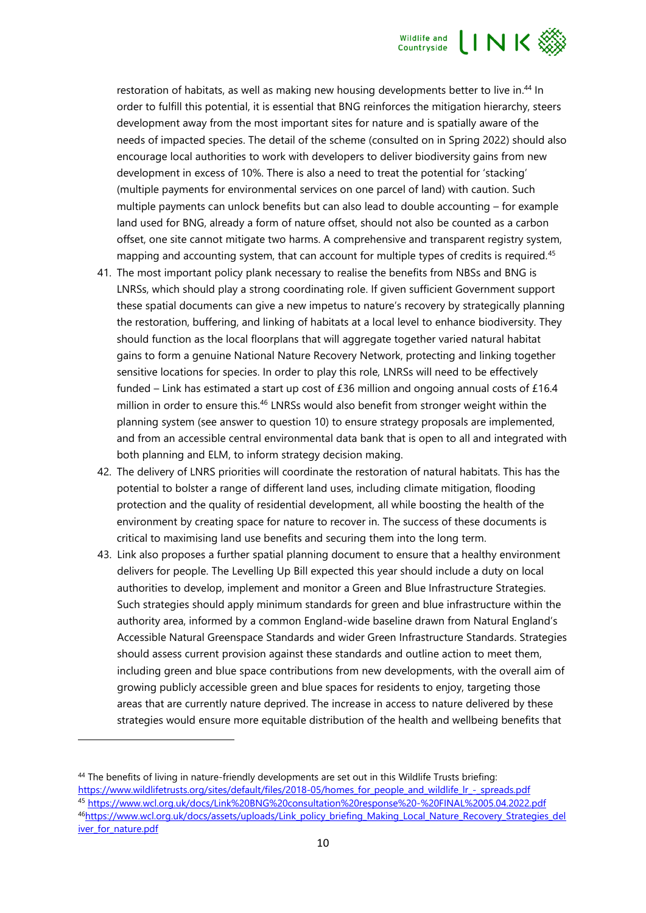

restoration of habitats, as well as making new housing developments better to live in.<sup>44</sup> In order to fulfill this potential, it is essential that BNG reinforces the mitigation hierarchy, steers development away from the most important sites for nature and is spatially aware of the needs of impacted species. The detail of the scheme (consulted on in Spring 2022) should also encourage local authorities to work with developers to deliver biodiversity gains from new development in excess of 10%. There is also a need to treat the potential for 'stacking' (multiple payments for environmental services on one parcel of land) with caution. Such multiple payments can unlock benefits but can also lead to double accounting – for example land used for BNG, already a form of nature offset, should not also be counted as a carbon offset, one site cannot mitigate two harms. A comprehensive and transparent registry system, mapping and accounting system, that can account for multiple types of credits is required.<sup>45</sup>

- 41. The most important policy plank necessary to realise the benefits from NBSs and BNG is LNRSs, which should play a strong coordinating role. If given sufficient Government support these spatial documents can give a new impetus to nature's recovery by strategically planning the restoration, buffering, and linking of habitats at a local level to enhance biodiversity. They should function as the local floorplans that will aggregate together varied natural habitat gains to form a genuine National Nature Recovery Network, protecting and linking together sensitive locations for species. In order to play this role, LNRSs will need to be effectively funded – Link has estimated a start up cost of £36 million and ongoing annual costs of £16.4 million in order to ensure this.<sup>46</sup> LNRSs would also benefit from stronger weight within the planning system (see answer to question 10) to ensure strategy proposals are implemented, and from an accessible central environmental data bank that is open to all and integrated with both planning and ELM, to inform strategy decision making.
- 42. The delivery of LNRS priorities will coordinate the restoration of natural habitats. This has the potential to bolster a range of different land uses, including climate mitigation, flooding protection and the quality of residential development, all while boosting the health of the environment by creating space for nature to recover in. The success of these documents is critical to maximising land use benefits and securing them into the long term.
- 43. Link also proposes a further spatial planning document to ensure that a healthy environment delivers for people. The Levelling Up Bill expected this year should include a duty on local authorities to develop, implement and monitor a Green and Blue Infrastructure Strategies. Such strategies should apply minimum standards for green and blue infrastructure within the authority area, informed by a common England-wide baseline drawn from Natural England's Accessible Natural Greenspace Standards and wider Green Infrastructure Standards. Strategies should assess current provision against these standards and outline action to meet them, including green and blue space contributions from new developments, with the overall aim of growing publicly accessible green and blue spaces for residents to enjoy, targeting those areas that are currently nature deprived. The increase in access to nature delivered by these strategies would ensure more equitable distribution of the health and wellbeing benefits that

<sup>44</sup> The benefits of living in nature-friendly developments are set out in this Wildlife Trusts briefing: [https://www.wildlifetrusts.org/sites/default/files/2018-05/homes\\_for\\_people\\_and\\_wildlife\\_lr\\_-\\_spreads.pdf](https://www.wildlifetrusts.org/sites/default/files/2018-05/homes_for_people_and_wildlife_lr_-_spreads.pdf) <sup>45</sup> <https://www.wcl.org.uk/docs/Link%20BNG%20consultation%20response%20-%20FINAL%2005.04.2022.pdf> 46[https://www.wcl.org.uk/docs/assets/uploads/Link\\_policy\\_briefing\\_Making\\_Local\\_Nature\\_Recovery\\_Strategies\\_del](https://www.wcl.org.uk/docs/assets/uploads/Link_policy_briefing_Making_Local_Nature_Recovery_Strategies_deliver_for_nature.pdf) iver for nature.pdf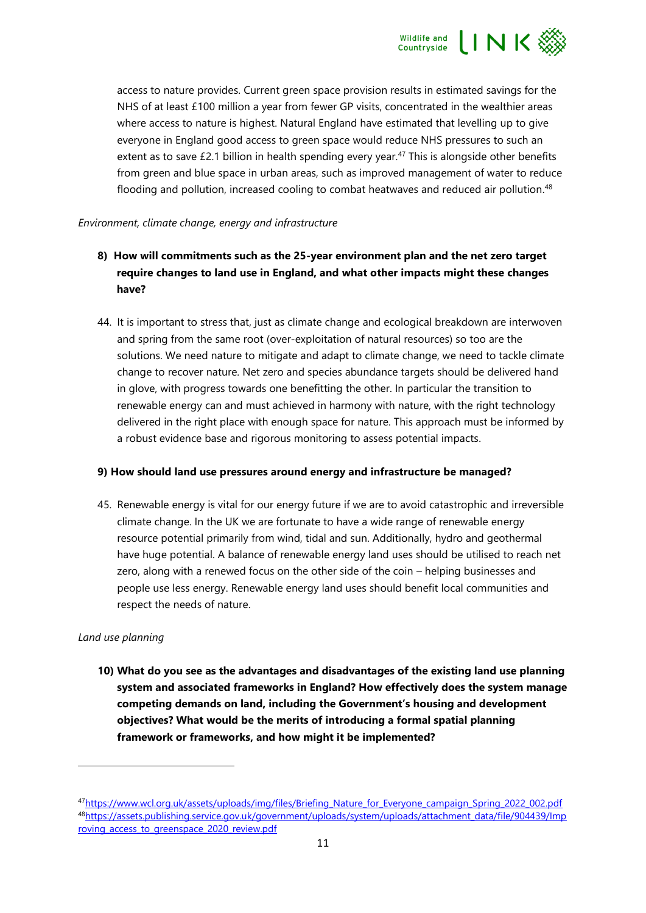

access to nature provides. Current green space provision results in estimated savings for the NHS of at least £100 million a year from fewer GP visits, concentrated in the wealthier areas where access to nature is highest. Natural England have estimated that levelling up to give everyone in England good access to green space would reduce NHS pressures to such an extent as to save  $£2.1$  billion in health spending every year.<sup>47</sup> This is alongside other benefits from green and blue space in urban areas, such as improved management of water to reduce flooding and pollution, increased cooling to combat heatwaves and reduced air pollution.<sup>48</sup>

#### *Environment, climate change, energy and infrastructure*

- **8) How will commitments such as the 25-year environment plan and the net zero target require changes to land use in England, and what other impacts might these changes have?**
- 44. It is important to stress that, just as climate change and ecological breakdown are interwoven and spring from the same root (over-exploitation of natural resources) so too are the solutions. We need nature to mitigate and adapt to climate change, we need to tackle climate change to recover nature. Net zero and species abundance targets should be delivered hand in glove, with progress towards one benefitting the other. In particular the transition to renewable energy can and must achieved in harmony with nature, with the right technology delivered in the right place with enough space for nature. This approach must be informed by a robust evidence base and rigorous monitoring to assess potential impacts.

#### **9) How should land use pressures around energy and infrastructure be managed?**

45. Renewable energy is vital for our energy future if we are to avoid catastrophic and irreversible climate change. In the UK we are fortunate to have a wide range of renewable energy resource potential primarily from wind, tidal and sun. Additionally, hydro and geothermal have huge potential. A balance of renewable energy land uses should be utilised to reach net zero, along with a renewed focus on the other side of the coin – helping businesses and people use less energy. Renewable energy land uses should benefit local communities and respect the needs of nature.

## *Land use planning*

**10) What do you see as the advantages and disadvantages of the existing land use planning system and associated frameworks in England? How effectively does the system manage competing demands on land, including the Government's housing and development objectives? What would be the merits of introducing a formal spatial planning framework or frameworks, and how might it be implemented?**

<sup>47</sup>[https://www.wcl.org.uk/assets/uploads/img/files/Briefing\\_Nature\\_for\\_Everyone\\_campaign\\_Spring\\_2022\\_002.pdf](https://www.wcl.org.uk/assets/uploads/img/files/Briefing_Nature_for_Everyone_campaign_Spring_2022_002.pdf) <sup>48</sup>[https://assets.publishing.service.gov.uk/government/uploads/system/uploads/attachment\\_data/file/904439/Imp](https://assets.publishing.service.gov.uk/government/uploads/system/uploads/attachment_data/file/904439/Improving_access_to_greenspace_2020_review.pdf) roving access to greenspace 2020 review.pdf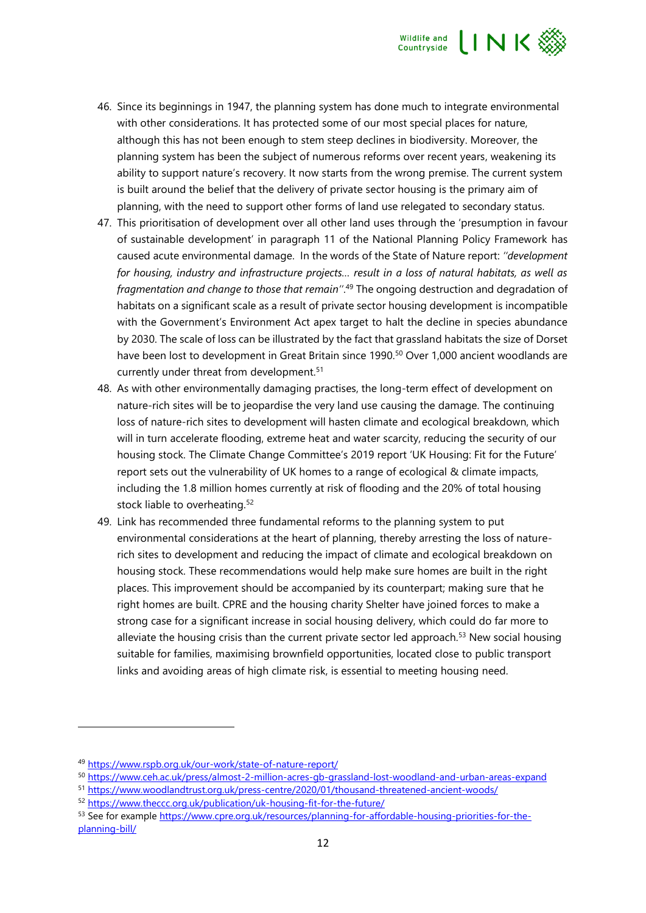

- 46. Since its beginnings in 1947, the planning system has done much to integrate environmental with other considerations. It has protected some of our most special places for nature, although this has not been enough to stem steep declines in biodiversity. Moreover, the planning system has been the subject of numerous reforms over recent years, weakening its ability to support nature's recovery. It now starts from the wrong premise. The current system is built around the belief that the delivery of private sector housing is the primary aim of planning, with the need to support other forms of land use relegated to secondary status.
- 47. This prioritisation of development over all other land uses through the 'presumption in favour of sustainable development' in paragraph 11 of the National Planning Policy Framework has caused acute environmental damage. In the words of the State of Nature report: *''development for housing, industry and infrastructure projects… result in a loss of natural habitats, as well as fragmentation and change to those that remain''*. <sup>49</sup> The ongoing destruction and degradation of habitats on a significant scale as a result of private sector housing development is incompatible with the Government's Environment Act apex target to halt the decline in species abundance by 2030. The scale of loss can be illustrated by the fact that grassland habitats the size of Dorset have been lost to development in Great Britain since 1990.<sup>50</sup> Over 1,000 ancient woodlands are currently under threat from development.<sup>51</sup>
- 48. As with other environmentally damaging practises, the long-term effect of development on nature-rich sites will be to jeopardise the very land use causing the damage. The continuing loss of nature-rich sites to development will hasten climate and ecological breakdown, which will in turn accelerate flooding, extreme heat and water scarcity, reducing the security of our housing stock. The Climate Change Committee's 2019 report 'UK Housing: Fit for the Future' report sets out the vulnerability of UK homes to a range of ecological & climate impacts, including the 1.8 million homes currently at risk of flooding and the 20% of total housing stock liable to overheating.<sup>52</sup>
- 49. Link has recommended three fundamental reforms to the planning system to put environmental considerations at the heart of planning, thereby arresting the loss of naturerich sites to development and reducing the impact of climate and ecological breakdown on housing stock. These recommendations would help make sure homes are built in the right places. This improvement should be accompanied by its counterpart; making sure that he right homes are built. CPRE and the housing charity Shelter have joined forces to make a strong case for a significant increase in social housing delivery, which could do far more to alleviate the housing crisis than the current private sector led approach.<sup>53</sup> New social housing suitable for families, maximising brownfield opportunities, located close to public transport links and avoiding areas of high climate risk, is essential to meeting housing need.

<sup>49</sup> <https://www.rspb.org.uk/our-work/state-of-nature-report/>

<sup>50</sup> <https://www.ceh.ac.uk/press/almost-2-million-acres-gb-grassland-lost-woodland-and-urban-areas-expand>

<sup>51</sup> <https://www.woodlandtrust.org.uk/press-centre/2020/01/thousand-threatened-ancient-woods/>

<sup>52</sup> <https://www.theccc.org.uk/publication/uk-housing-fit-for-the-future/>

<sup>53</sup> See for example [https://www.cpre.org.uk/resources/planning-for-affordable-housing-priorities-for-the](https://www.cpre.org.uk/resources/planning-for-affordable-housing-priorities-for-the-planning-bill/)[planning-bill/](https://www.cpre.org.uk/resources/planning-for-affordable-housing-priorities-for-the-planning-bill/)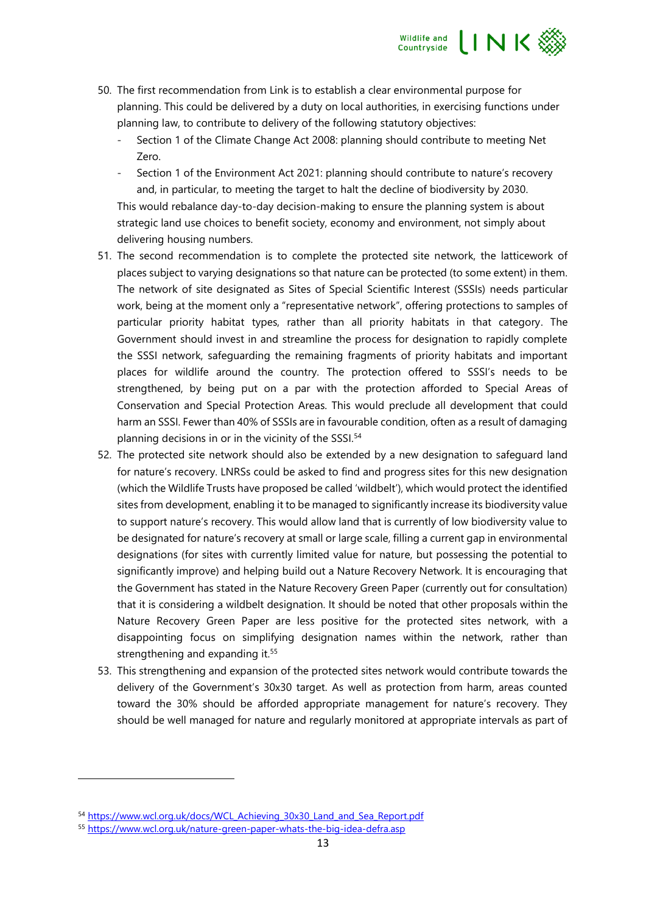

- 50. The first recommendation from Link is to establish a clear environmental purpose for planning. This could be delivered by a duty on local authorities, in exercising functions under planning law, to contribute to delivery of the following statutory objectives:
	- Section 1 of the Climate Change Act 2008: planning should contribute to meeting Net Zero.
	- Section 1 of the Environment Act 2021: planning should contribute to nature's recovery and, in particular, to meeting the target to halt the decline of biodiversity by 2030.

This would rebalance day-to-day decision-making to ensure the planning system is about strategic land use choices to benefit society, economy and environment, not simply about delivering housing numbers.

- 51. The second recommendation is to complete the protected site network, the latticework of places subject to varying designations so that nature can be protected (to some extent) in them. The network of site designated as Sites of Special Scientific Interest (SSSIs) needs particular work, being at the moment only a "representative network", offering protections to samples of particular priority habitat types, rather than all priority habitats in that category. The Government should invest in and streamline the process for designation to rapidly complete the SSSI network, safeguarding the remaining fragments of priority habitats and important places for wildlife around the country. The protection offered to SSSI's needs to be strengthened, by being put on a par with the protection afforded to Special Areas of Conservation and Special Protection Areas. This would preclude all development that could harm an SSSI. Fewer than 40% of SSSIs are in favourable condition, often as a result of damaging planning decisions in or in the vicinity of the SSSI.<sup>54</sup>
- 52. The protected site network should also be extended by a new designation to safeguard land for nature's recovery. LNRSs could be asked to find and progress sites for this new designation (which the Wildlife Trusts have proposed be called 'wildbelt'), which would protect the identified sites from development, enabling it to be managed to significantly increase its biodiversity value to support nature's recovery. This would allow land that is currently of low biodiversity value to be designated for nature's recovery at small or large scale, filling a current gap in environmental designations (for sites with currently limited value for nature, but possessing the potential to significantly improve) and helping build out a Nature Recovery Network. It is encouraging that the Government has stated in the Nature Recovery Green Paper (currently out for consultation) that it is considering a wildbelt designation. It should be noted that other proposals within the Nature Recovery Green Paper are less positive for the protected sites network, with a disappointing focus on simplifying designation names within the network, rather than strengthening and expanding it.<sup>55</sup>
- 53. This strengthening and expansion of the protected sites network would contribute towards the delivery of the Government's 30x30 target. As well as protection from harm, areas counted toward the 30% should be afforded appropriate management for nature's recovery. They should be well managed for nature and regularly monitored at appropriate intervals as part of

<sup>54</sup> [https://www.wcl.org.uk/docs/WCL\\_Achieving\\_30x30\\_Land\\_and\\_Sea\\_Report.pdf](https://www.wcl.org.uk/docs/WCL_Achieving_30x30_Land_and_Sea_Report.pdf)

<sup>55</sup> <https://www.wcl.org.uk/nature-green-paper-whats-the-big-idea-defra.asp>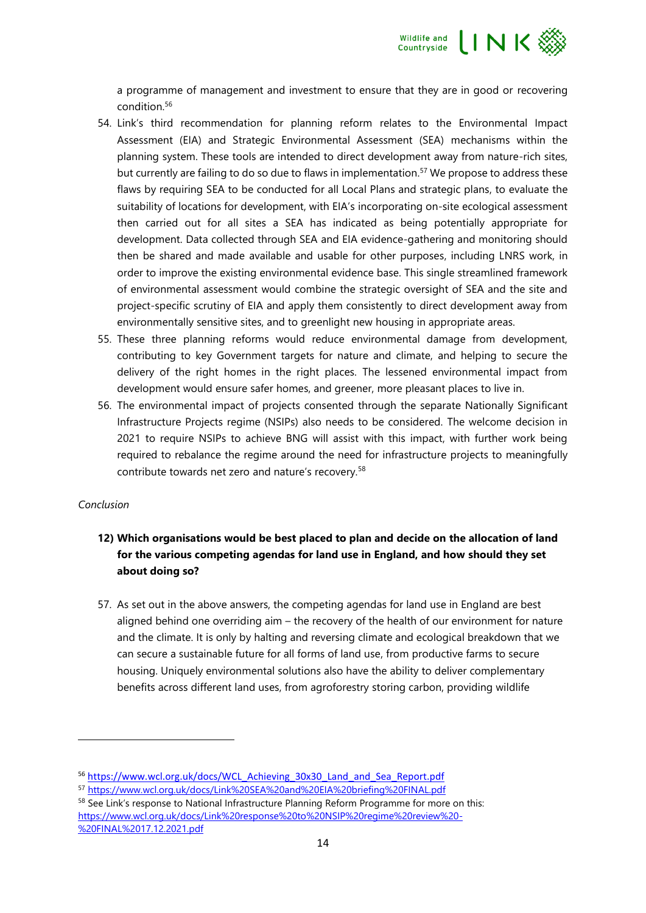

a programme of management and investment to ensure that they are in good or recovering condition.<sup>56</sup>

- 54. Link's third recommendation for planning reform relates to the Environmental Impact Assessment (EIA) and Strategic Environmental Assessment (SEA) mechanisms within the planning system. These tools are intended to direct development away from nature-rich sites, but currently are failing to do so due to flaws in implementation. <sup>57</sup> We propose to address these flaws by requiring SEA to be conducted for all Local Plans and strategic plans, to evaluate the suitability of locations for development, with EIA's incorporating on-site ecological assessment then carried out for all sites a SEA has indicated as being potentially appropriate for development. Data collected through SEA and EIA evidence-gathering and monitoring should then be shared and made available and usable for other purposes, including LNRS work, in order to improve the existing environmental evidence base. This single streamlined framework of environmental assessment would combine the strategic oversight of SEA and the site and project-specific scrutiny of EIA and apply them consistently to direct development away from environmentally sensitive sites, and to greenlight new housing in appropriate areas.
- 55. These three planning reforms would reduce environmental damage from development, contributing to key Government targets for nature and climate, and helping to secure the delivery of the right homes in the right places. The lessened environmental impact from development would ensure safer homes, and greener, more pleasant places to live in.
- 56. The environmental impact of projects consented through the separate Nationally Significant Infrastructure Projects regime (NSIPs) also needs to be considered. The welcome decision in 2021 to require NSIPs to achieve BNG will assist with this impact, with further work being required to rebalance the regime around the need for infrastructure projects to meaningfully contribute towards net zero and nature's recovery.<sup>58</sup>

## *Conclusion*

# **12) Which organisations would be best placed to plan and decide on the allocation of land for the various competing agendas for land use in England, and how should they set about doing so?**

57. As set out in the above answers, the competing agendas for land use in England are best aligned behind one overriding aim – the recovery of the health of our environment for nature and the climate. It is only by halting and reversing climate and ecological breakdown that we can secure a sustainable future for all forms of land use, from productive farms to secure housing. Uniquely environmental solutions also have the ability to deliver complementary benefits across different land uses, from agroforestry storing carbon, providing wildlife

<sup>56</sup> [https://www.wcl.org.uk/docs/WCL\\_Achieving\\_30x30\\_Land\\_and\\_Sea\\_Report.pdf](https://www.wcl.org.uk/docs/WCL_Achieving_30x30_Land_and_Sea_Report.pdf)

<sup>57</sup> <https://www.wcl.org.uk/docs/Link%20SEA%20and%20EIA%20briefing%20FINAL.pdf>

<sup>&</sup>lt;sup>58</sup> See Link's response to National Infrastructure Planning Reform Programme for more on this: [https://www.wcl.org.uk/docs/Link%20response%20to%20NSIP%20regime%20review%20-](https://www.wcl.org.uk/docs/Link%20response%20to%20NSIP%20regime%20review%20-%20FINAL%2017.12.2021.pdf) [%20FINAL%2017.12.2021.pdf](https://www.wcl.org.uk/docs/Link%20response%20to%20NSIP%20regime%20review%20-%20FINAL%2017.12.2021.pdf)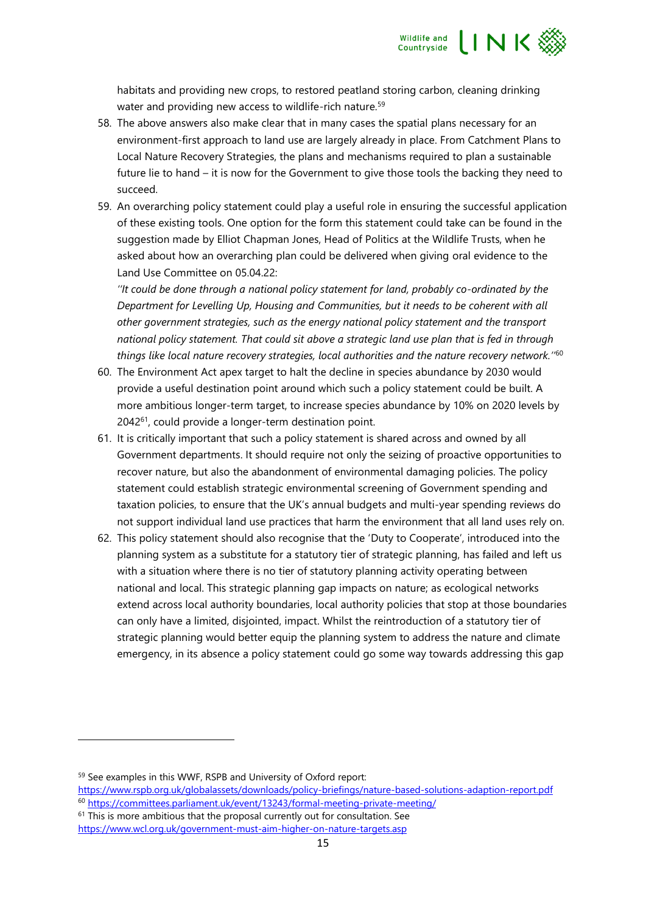

habitats and providing new crops, to restored peatland storing carbon, cleaning drinking water and providing new access to wildlife-rich nature.<sup>59</sup>

- 58. The above answers also make clear that in many cases the spatial plans necessary for an environment-first approach to land use are largely already in place. From Catchment Plans to Local Nature Recovery Strategies, the plans and mechanisms required to plan a sustainable future lie to hand – it is now for the Government to give those tools the backing they need to succeed.
- 59. An overarching policy statement could play a useful role in ensuring the successful application of these existing tools. One option for the form this statement could take can be found in the suggestion made by Elliot Chapman Jones, Head of Politics at the Wildlife Trusts, when he asked about how an overarching plan could be delivered when giving oral evidence to the Land Use Committee on 05.04.22:

*''It could be done through a national policy statement for land, probably co-ordinated by the Department for Levelling Up, Housing and Communities, but it needs to be coherent with all other government strategies, such as the energy national policy statement and the transport national policy statement. That could sit above a strategic land use plan that is fed in through things like local nature recovery strategies, local authorities and the nature recovery network.''*<sup>60</sup>

- 60. The Environment Act apex target to halt the decline in species abundance by 2030 would provide a useful destination point around which such a policy statement could be built. A more ambitious longer-term target, to increase species abundance by 10% on 2020 levels by 2042<sup>61</sup>, could provide a longer-term destination point.
- 61. It is critically important that such a policy statement is shared across and owned by all Government departments. It should require not only the seizing of proactive opportunities to recover nature, but also the abandonment of environmental damaging policies. The policy statement could establish strategic environmental screening of Government spending and taxation policies, to ensure that the UK's annual budgets and multi-year spending reviews do not support individual land use practices that harm the environment that all land uses rely on.
- 62. This policy statement should also recognise that the 'Duty to Cooperate', introduced into the planning system as a substitute for a statutory tier of strategic planning, has failed and left us with a situation where there is no tier of statutory planning activity operating between national and local. This strategic planning gap impacts on nature; as ecological networks extend across local authority boundaries, local authority policies that stop at those boundaries can only have a limited, disjointed, impact. Whilst the reintroduction of a statutory tier of strategic planning would better equip the planning system to address the nature and climate emergency, in its absence a policy statement could go some way towards addressing this gap

- $61$  This is more ambitious that the proposal currently out for consultation. See
- <https://www.wcl.org.uk/government-must-aim-higher-on-nature-targets.asp>

<sup>59</sup> See examples in this WWF, RSPB and University of Oxford report:

<https://www.rspb.org.uk/globalassets/downloads/policy-briefings/nature-based-solutions-adaption-report.pdf> <sup>60</sup> <https://committees.parliament.uk/event/13243/formal-meeting-private-meeting/>